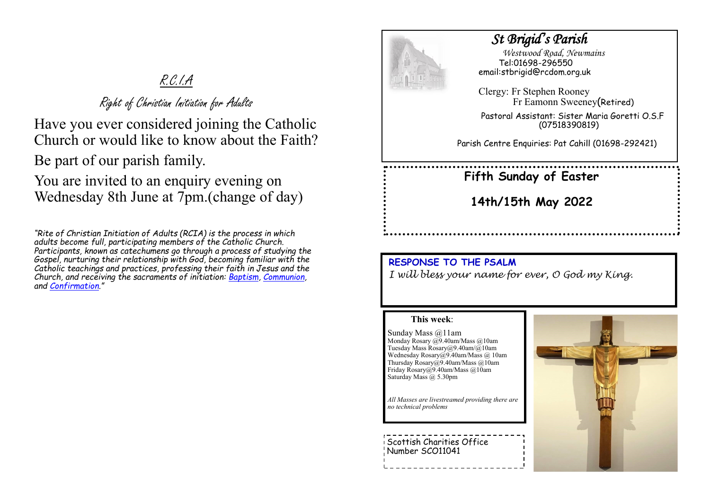# R.C.I.A

Right of Christian Initiation for Adults

Have you ever considered joining the Catholic Church or would like to know about the Faith?

Be part of our parish family.

You are invited to an enquiry evening on Wednesday 8th June at 7pm.(change of day)

*"Rite of Christian Initiation of Adults (RCIA) is the process in which adults become full, participating members of the Catholic Church. Participants, known as catechumens go through a process of studying the Gospel, nurturing their relationship with God, becoming familiar with the Catholic teachings and practices, professing their faith in Jesus and the Church, and receiving the sacraments of initiation: [Baptism,](https://www.catholicfaithstore.com/daily-bread/early-teachings-infant-baptism/) [Communion,](https://www.catholicfaithstore.com/daily-bread/eight-gift-ideas-for-first-communion/)  and [Confirmation](https://www.catholicfaithstore.com/daily-bread/7-best-gifts-one-receives-confirmation/)."* 



# *St Brigid's Parish*

 *Westwood Road, Newmains* Tel:01698-296550 email:stbrigid@rcdom.org.uk

Clergy: Fr Stephen Rooney Fr Eamonn Sweeney(Retired)

Pastoral Assistant: Sister Maria Goretti O.S.F (07518390819)

Parish Centre Enquiries: Pat Cahill (01698-292421)

# **Fifth Sunday of Easter**

**14th/15th May 2022**

## **RESPONSE TO THE PSALM**

*I will bless your name for ever, O God my King.*

## **This week**:

Sunday Mass @11am Monday Rosary @9.40am/Mass @10am Tuesday Mass Rosary@9.40am/@10am Wednesday Rosary@9.40am/Mass @ 10am Thursday Rosary@9.40am/Mass @10am Friday Rosary@9.40am/Mass @10am Saturday Mass @ 5.30pm

*All Masses are livestreamed providing there are no technical problems*

Scottish Charities Office Number SCO11041